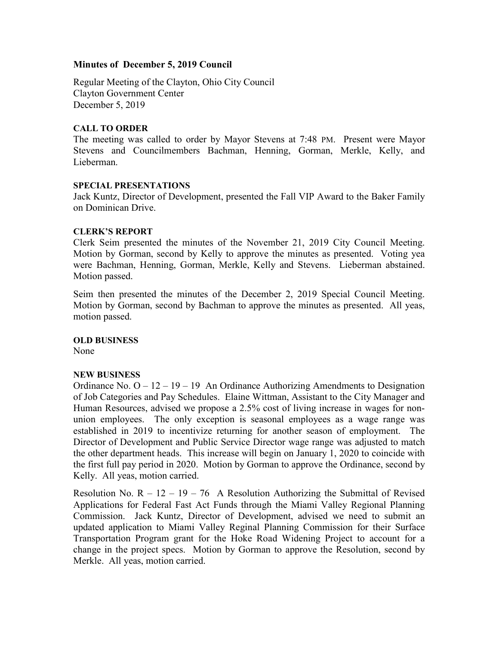# Minutes of December 5, 2019 Council

Regular Meeting of the Clayton, Ohio City Council Clayton Government Center December 5, 2019

# CALL TO ORDER

The meeting was called to order by Mayor Stevens at 7:48 PM. Present were Mayor Stevens and Councilmembers Bachman, Henning, Gorman, Merkle, Kelly, and Lieberman.

#### SPECIAL PRESENTATIONS

Jack Kuntz, Director of Development, presented the Fall VIP Award to the Baker Family on Dominican Drive.

#### CLERK'S REPORT

Clerk Seim presented the minutes of the November 21, 2019 City Council Meeting. Motion by Gorman, second by Kelly to approve the minutes as presented. Voting yea were Bachman, Henning, Gorman, Merkle, Kelly and Stevens. Lieberman abstained. Motion passed.

Seim then presented the minutes of the December 2, 2019 Special Council Meeting. Motion by Gorman, second by Bachman to approve the minutes as presented. All yeas, motion passed.

OLD BUSINESS None

#### NEW BUSINESS

Ordinance No.  $O - 12 - 19 - 19$  An Ordinance Authorizing Amendments to Designation of Job Categories and Pay Schedules. Elaine Wittman, Assistant to the City Manager and Human Resources, advised we propose a 2.5% cost of living increase in wages for nonunion employees. The only exception is seasonal employees as a wage range was established in 2019 to incentivize returning for another season of employment. The Director of Development and Public Service Director wage range was adjusted to match the other department heads. This increase will begin on January 1, 2020 to coincide with the first full pay period in 2020. Motion by Gorman to approve the Ordinance, second by Kelly. All yeas, motion carried.

Resolution No.  $R - 12 - 19 - 76$  A Resolution Authorizing the Submittal of Revised Applications for Federal Fast Act Funds through the Miami Valley Regional Planning Commission. Jack Kuntz, Director of Development, advised we need to submit an updated application to Miami Valley Reginal Planning Commission for their Surface Transportation Program grant for the Hoke Road Widening Project to account for a change in the project specs. Motion by Gorman to approve the Resolution, second by Merkle. All yeas, motion carried.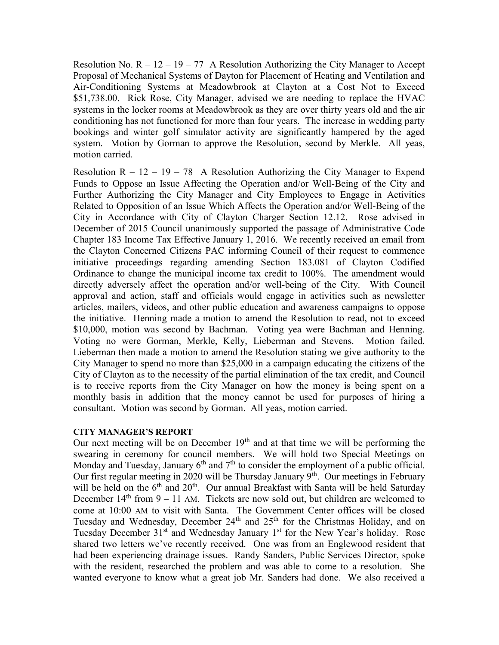Resolution No.  $R - 12 - 19 - 77$  A Resolution Authorizing the City Manager to Accept Proposal of Mechanical Systems of Dayton for Placement of Heating and Ventilation and Air-Conditioning Systems at Meadowbrook at Clayton at a Cost Not to Exceed \$51,738.00. Rick Rose, City Manager, advised we are needing to replace the HVAC systems in the locker rooms at Meadowbrook as they are over thirty years old and the air conditioning has not functioned for more than four years. The increase in wedding party bookings and winter golf simulator activity are significantly hampered by the aged system. Motion by Gorman to approve the Resolution, second by Merkle. All yeas, motion carried.

Resolution  $R - 12 - 19 - 78$  A Resolution Authorizing the City Manager to Expend Funds to Oppose an Issue Affecting the Operation and/or Well-Being of the City and Further Authorizing the City Manager and City Employees to Engage in Activities Related to Opposition of an Issue Which Affects the Operation and/or Well-Being of the City in Accordance with City of Clayton Charger Section 12.12. Rose advised in December of 2015 Council unanimously supported the passage of Administrative Code Chapter 183 Income Tax Effective January 1, 2016. We recently received an email from the Clayton Concerned Citizens PAC informing Council of their request to commence initiative proceedings regarding amending Section 183.081 of Clayton Codified Ordinance to change the municipal income tax credit to 100%. The amendment would directly adversely affect the operation and/or well-being of the City. With Council approval and action, staff and officials would engage in activities such as newsletter articles, mailers, videos, and other public education and awareness campaigns to oppose the initiative. Henning made a motion to amend the Resolution to read, not to exceed \$10,000, motion was second by Bachman. Voting yea were Bachman and Henning. Voting no were Gorman, Merkle, Kelly, Lieberman and Stevens. Motion failed. Lieberman then made a motion to amend the Resolution stating we give authority to the City Manager to spend no more than \$25,000 in a campaign educating the citizens of the City of Clayton as to the necessity of the partial elimination of the tax credit, and Council is to receive reports from the City Manager on how the money is being spent on a monthly basis in addition that the money cannot be used for purposes of hiring a consultant. Motion was second by Gorman. All yeas, motion carried.

#### CITY MANAGER'S REPORT

Our next meeting will be on December  $19<sup>th</sup>$  and at that time we will be performing the swearing in ceremony for council members. We will hold two Special Meetings on Monday and Tuesday, January  $6<sup>th</sup>$  and  $7<sup>th</sup>$  to consider the employment of a public official. Our first regular meeting in 2020 will be Thursday January  $9<sup>th</sup>$ . Our meetings in February will be held on the  $6<sup>th</sup>$  and  $20<sup>th</sup>$ . Our annual Breakfast with Santa will be held Saturday December  $14<sup>th</sup>$  from 9 – 11 AM. Tickets are now sold out, but children are welcomed to come at 10:00 AM to visit with Santa. The Government Center offices will be closed Tuesday and Wednesday, December  $24<sup>th</sup>$  and  $25<sup>th</sup>$  for the Christmas Holiday, and on Tuesday December  $31<sup>st</sup>$  and Wednesday January  $1<sup>st</sup>$  for the New Year's holiday. Rose shared two letters we've recently received. One was from an Englewood resident that had been experiencing drainage issues. Randy Sanders, Public Services Director, spoke with the resident, researched the problem and was able to come to a resolution. She wanted everyone to know what a great job Mr. Sanders had done. We also received a